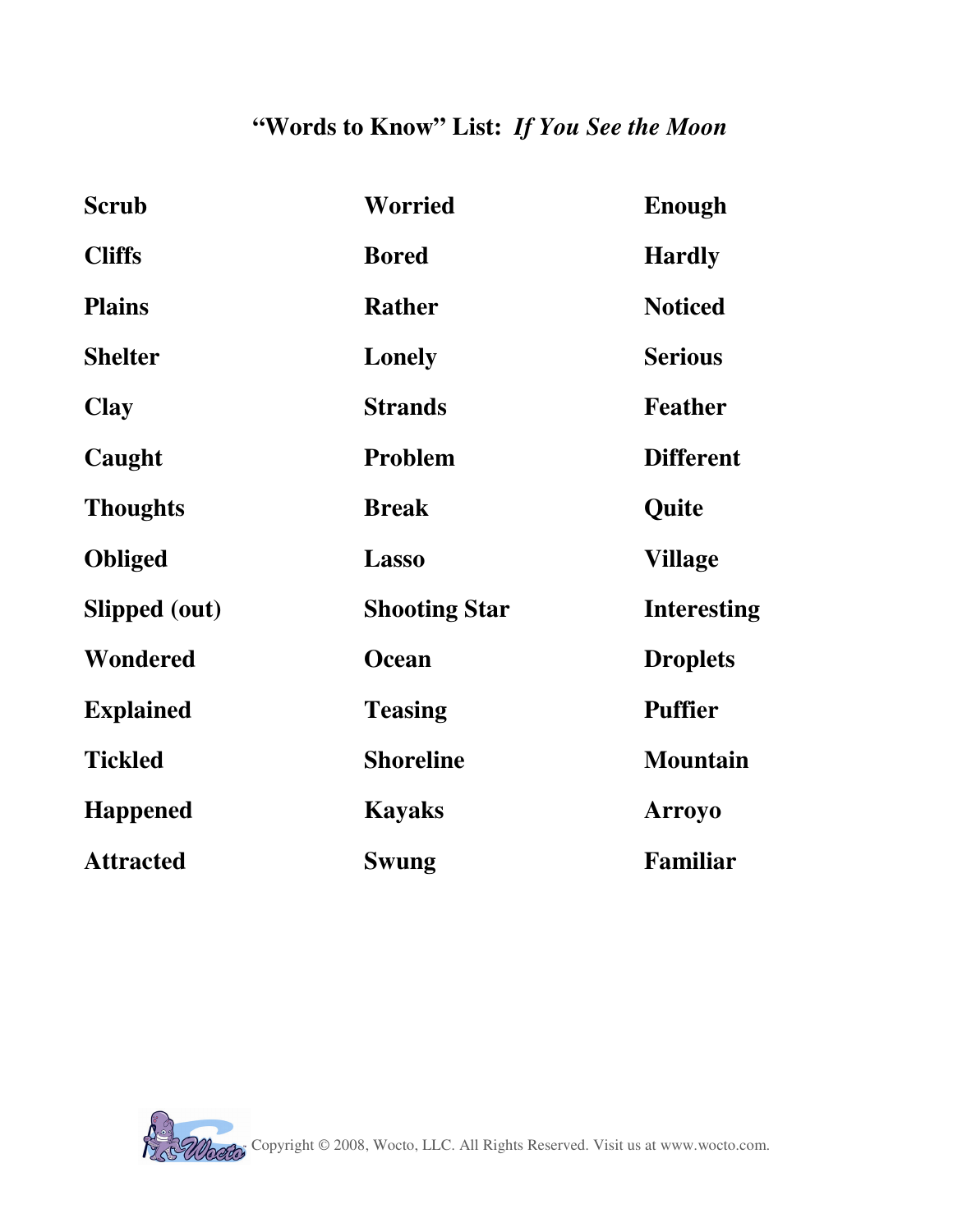## **"Words to Know" List:** *If You See the Moon*

| <b>Scrub</b>     | <b>Worried</b>       | <b>Enough</b>      |
|------------------|----------------------|--------------------|
| <b>Cliffs</b>    | <b>Bored</b>         | <b>Hardly</b>      |
| <b>Plains</b>    | <b>Rather</b>        | <b>Noticed</b>     |
| <b>Shelter</b>   | Lonely               | <b>Serious</b>     |
| <b>Clay</b>      | <b>Strands</b>       | <b>Feather</b>     |
| Caught           | Problem              | <b>Different</b>   |
| <b>Thoughts</b>  | <b>Break</b>         | Quite              |
| <b>Obliged</b>   | <b>Lasso</b>         | <b>Village</b>     |
| Slipped (out)    | <b>Shooting Star</b> | <b>Interesting</b> |
| <b>Wondered</b>  | <b>Ocean</b>         | <b>Droplets</b>    |
| <b>Explained</b> | <b>Teasing</b>       | <b>Puffier</b>     |
| <b>Tickled</b>   | <b>Shoreline</b>     | <b>Mountain</b>    |
| <b>Happened</b>  | <b>Kayaks</b>        | <b>Arroyo</b>      |
| <b>Attracted</b> | Swung                | Familiar           |